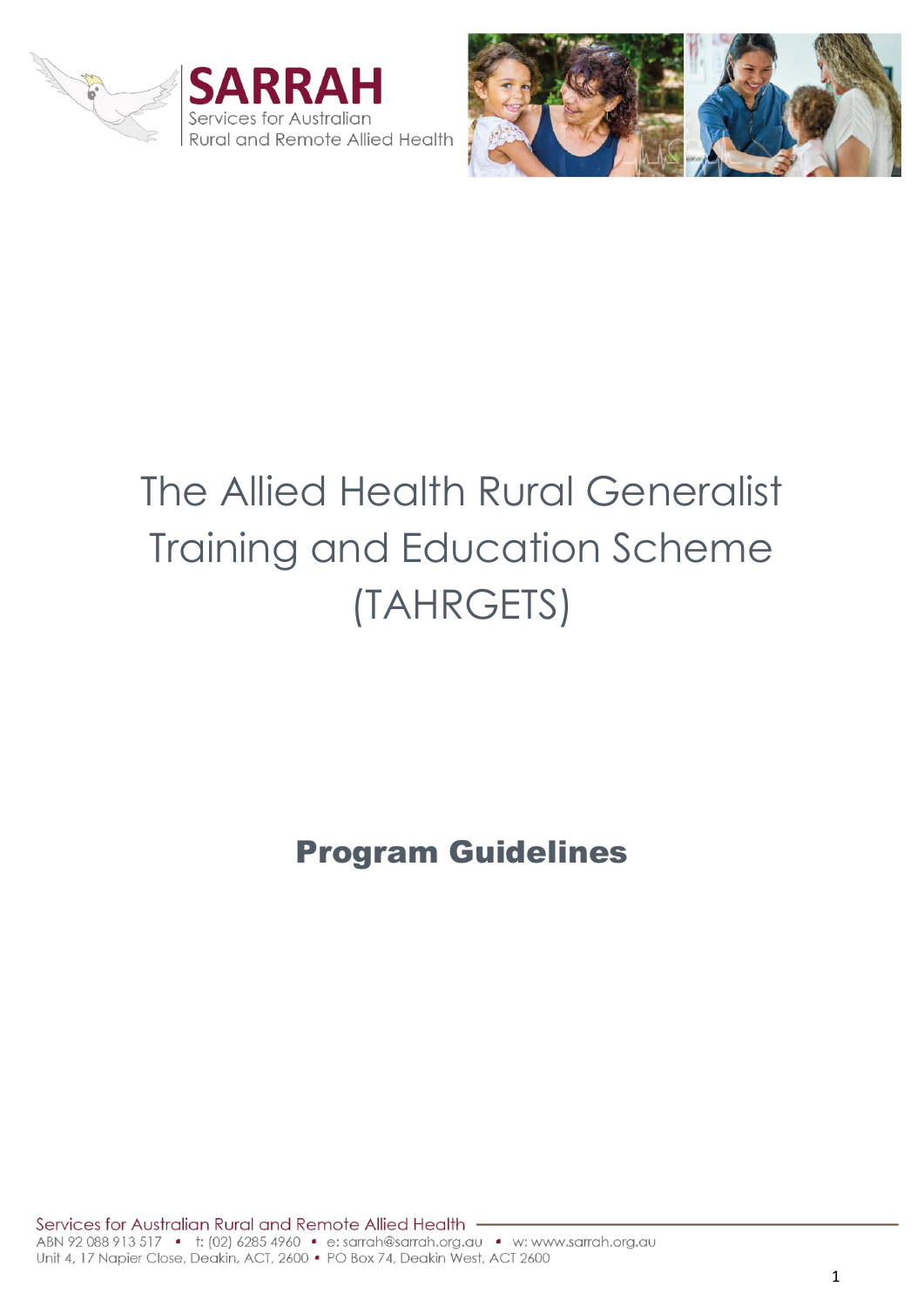





# The Allied Health Rural Generalist Training and Education Scheme (TAHRGETS)

Program Guidelines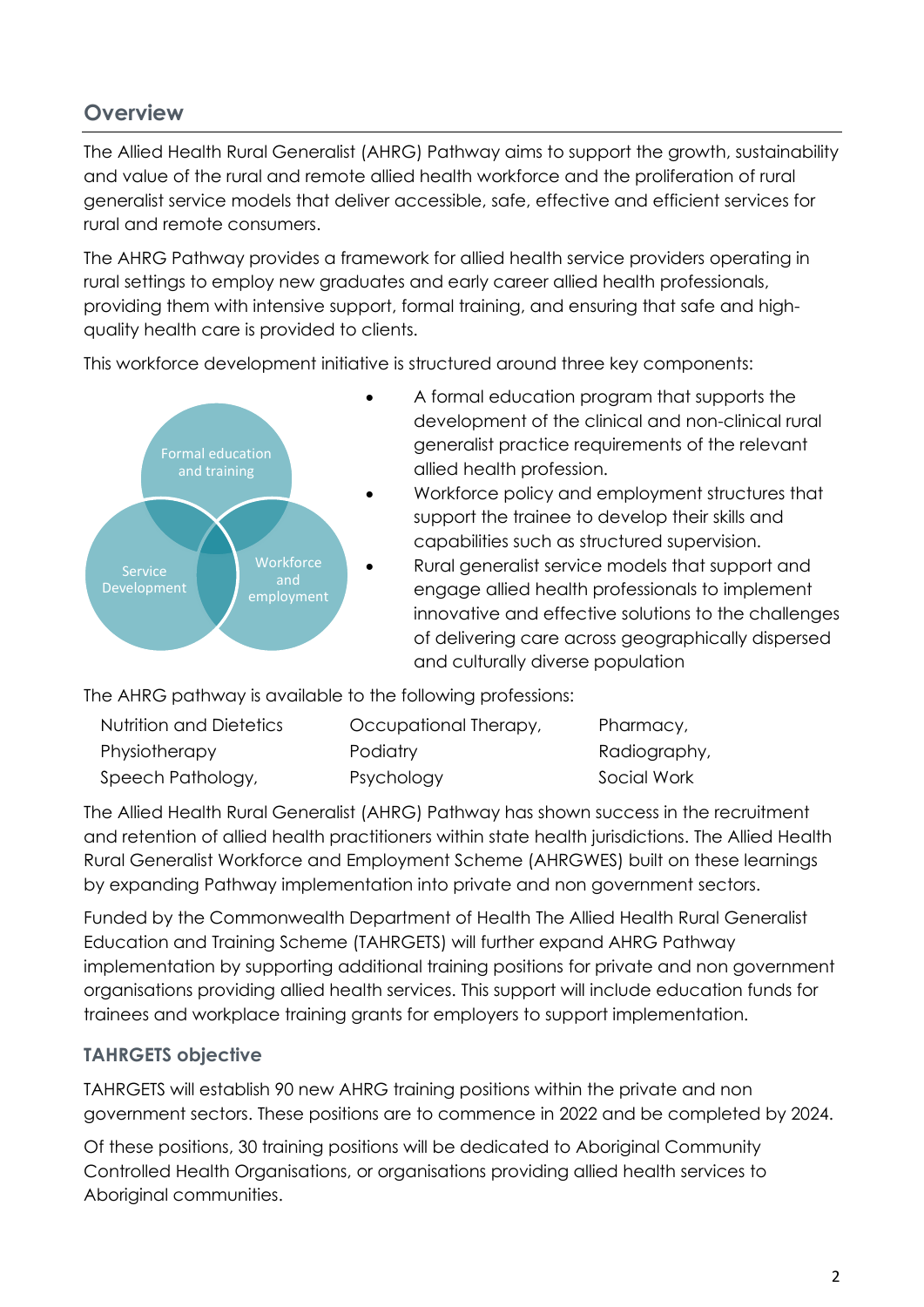## **Overview**

The Allied Health Rural Generalist (AHRG) Pathway aims to support the growth, sustainability and value of the rural and remote allied health workforce and the proliferation of rural generalist service models that deliver accessible, safe, effective and efficient services for rural and remote consumers.

The AHRG Pathway provides a framework for allied health service providers operating in rural settings to employ new graduates and early career allied health professionals, providing them with intensive support, formal training, and ensuring that safe and highquality health care is provided to clients.

This workforce development initiative is structured around three key components:



- A formal education program that supports the development of the clinical and non-clinical rural generalist practice requirements of the relevant allied health profession.
- Workforce policy and employment structures that support the trainee to develop their skills and capabilities such as structured supervision.
- Rural generalist service models that support and engage allied health professionals to implement innovative and effective solutions to the challenges of delivering care across geographically dispersed and culturally diverse population

The AHRG pathway is available to the following professions:

| Nutrition and Dietetics | Occupational Therapy, | Pharmacy,    |
|-------------------------|-----------------------|--------------|
| Physiotherapy           | Podiatry              | Radiography, |
| Speech Pathology,       | Psychology            | Social Work  |

The Allied Health Rural Generalist (AHRG) Pathway has shown success in the recruitment and retention of allied health practitioners within state health jurisdictions. The Allied Health Rural Generalist Workforce and Employment Scheme (AHRGWES) built on these learnings by expanding Pathway implementation into private and non government sectors.

Funded by the Commonwealth Department of Health The Allied Health Rural Generalist Education and Training Scheme (TAHRGETS) will further expand AHRG Pathway implementation by supporting additional training positions for private and non government organisations providing allied health services. This support will include education funds for trainees and workplace training grants for employers to support implementation.

### **TAHRGETS objective**

TAHRGETS will establish 90 new AHRG training positions within the private and non government sectors. These positions are to commence in 2022 and be completed by 2024.

Of these positions, 30 training positions will be dedicated to Aboriginal Community Controlled Health Organisations, or organisations providing allied health services to Aboriginal communities.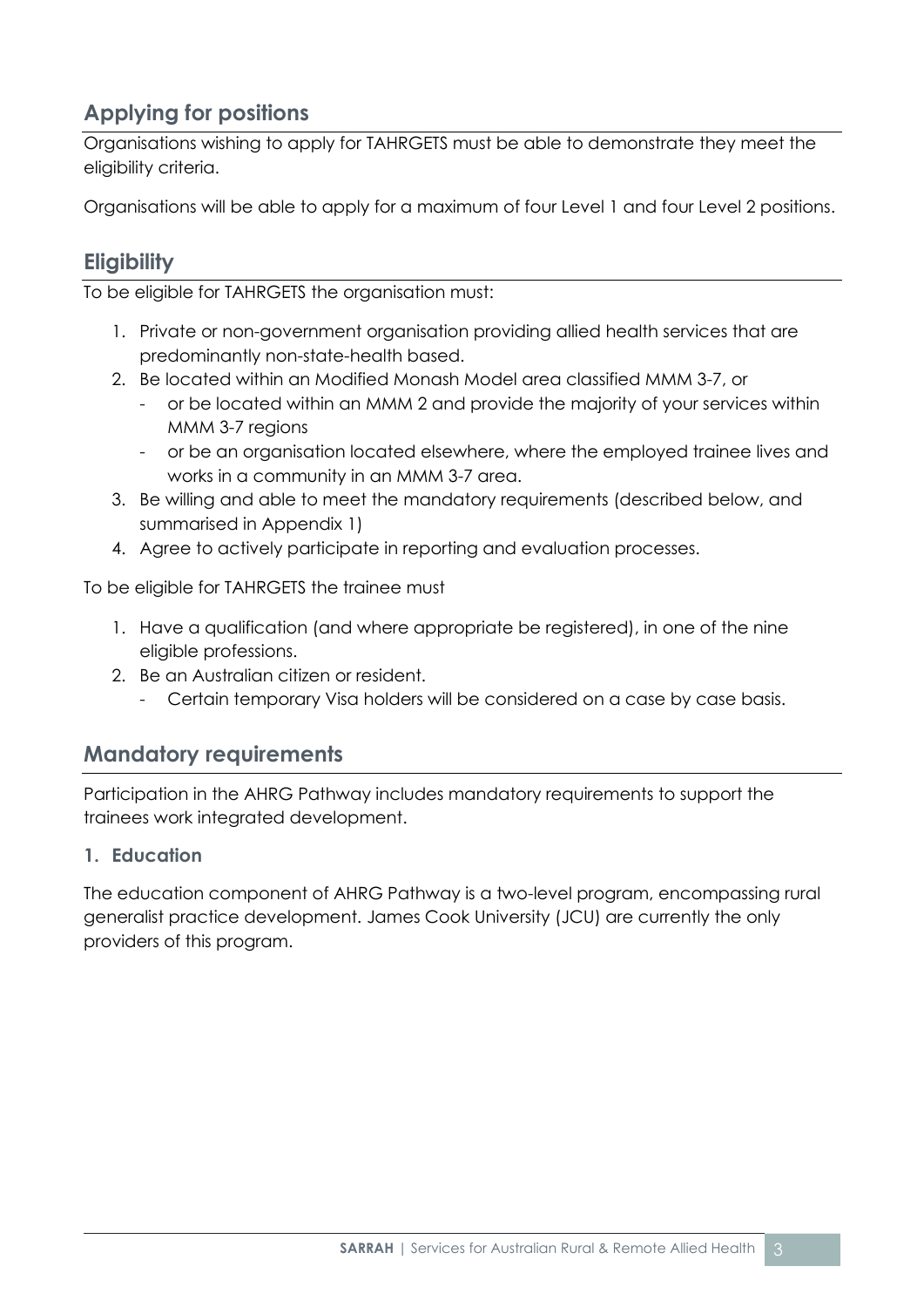## **Applying for positions**

Organisations wishing to apply for TAHRGETS must be able to demonstrate they meet the eligibility criteria.

Organisations will be able to apply for a maximum of four Level 1 and four Level 2 positions.

## **Eligibility**

To be eligible for TAHRGETS the organisation must:

- 1. Private or non-government organisation providing allied health services that are predominantly non-state-health based.
- 2. Be located within an Modified Monash Model area classified MMM 3-7, or
	- or be located within an MMM 2 and provide the majority of your services within MMM 3-7 regions
	- or be an organisation located elsewhere, where the employed trainee lives and works in a community in an MMM 3-7 area.
- 3. Be willing and able to meet the mandatory requirements (described below, and summarised in Appendix 1)
- 4. Agree to actively participate in reporting and evaluation processes.

To be eligible for TAHRGETS the trainee must

- 1. Have a qualification (and where appropriate be registered), in one of the nine eligible professions.
- 2. Be an Australian citizen or resident.
	- Certain temporary Visa holders will be considered on a case by case basis.

## **Mandatory requirements**

Participation in the AHRG Pathway includes mandatory requirements to support the trainees work integrated development.

#### **1. Education**

The education component of AHRG Pathway is a two-level program, encompassing rural generalist practice development. James Cook University (JCU) are currently the only providers of this program.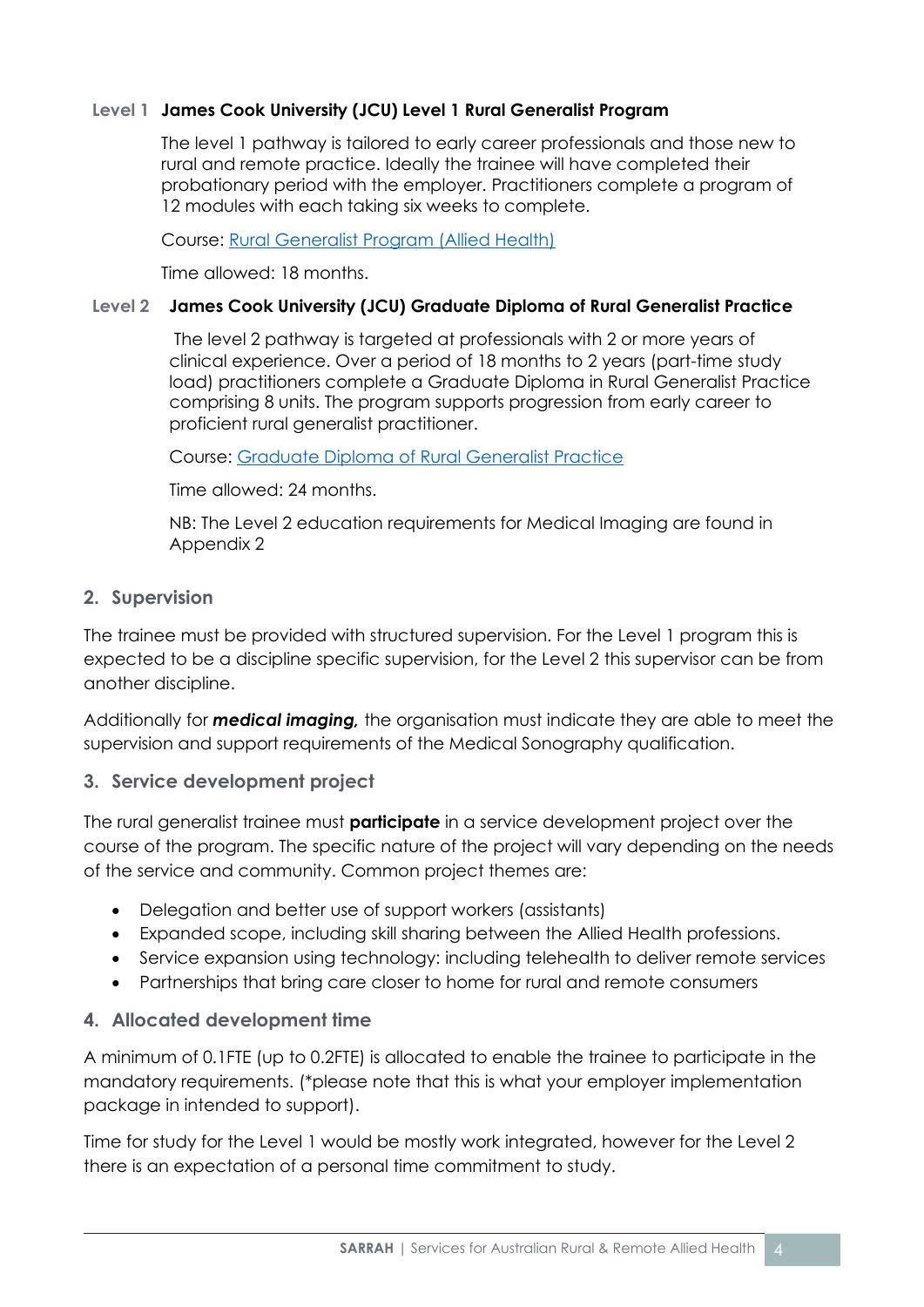#### **Level 1 James Cook University (JCU) Level 1 Rural Generalist Program**

The level 1 pathway is tailored to early career professionals and those new to rural and remote practice. Ideally the trainee will have completed their probationary period with the employer. Practitioners complete a program of 12 modules with each taking six weeks to complete.

Course: [Rural Generalist Program \(Allied Health\)](https://www.jcu.edu.au/division-of-tropical-health-and-medicine/research/rural-generalist-program)

Time allowed: 18 months.

#### **Level 2 James Cook University (JCU) Graduate Diploma of Rural Generalist Practice**

The level 2 pathway is targeted at professionals with 2 or more years of clinical experience. Over a period of 18 months to 2 years (part-time study load) practitioners complete a Graduate Diploma in Rural Generalist Practice comprising 8 units. The program supports progression from early career to proficient rural generalist practitioner.

Course: [Graduate Diploma of Rural Generalist Practice](https://www.jcu.edu.au/courses/graduate-diploma-of-rural-generalist-practice)

Time allowed: 24 months.

NB: The Level 2 education requirements for Medical Imaging are found in Appendix 2

#### **2. Supervision**

The trainee must be provided with structured supervision. For the Level 1 program this is expected to be a discipline specific supervision, for the Level 2 this supervisor can be from another discipline.

Additionally for *medical imaging,* the organisation must indicate they are able to meet the supervision and support requirements of the Medical Sonography qualification.

#### **3. Service development project**

The rural generalist trainee must **participate** in a service development project over the course of the program. The specific nature of the project will vary depending on the needs of the service and community. Common project themes are:

- Delegation and better use of support workers (assistants)
- Expanded scope, including skill sharing between the Allied Health professions.
- Service expansion using technology: including telehealth to deliver remote services
- Partnerships that bring care closer to home for rural and remote consumers

#### **4. Allocated development time**

A minimum of 0.1FTE (up to 0.2FTE) is allocated to enable the trainee to participate in the mandatory requirements. (\*please note that this is what your employer implementation package in intended to support).

Time for study for the Level 1 would be mostly work integrated, however for the Level 2 there is an expectation of a personal time commitment to study.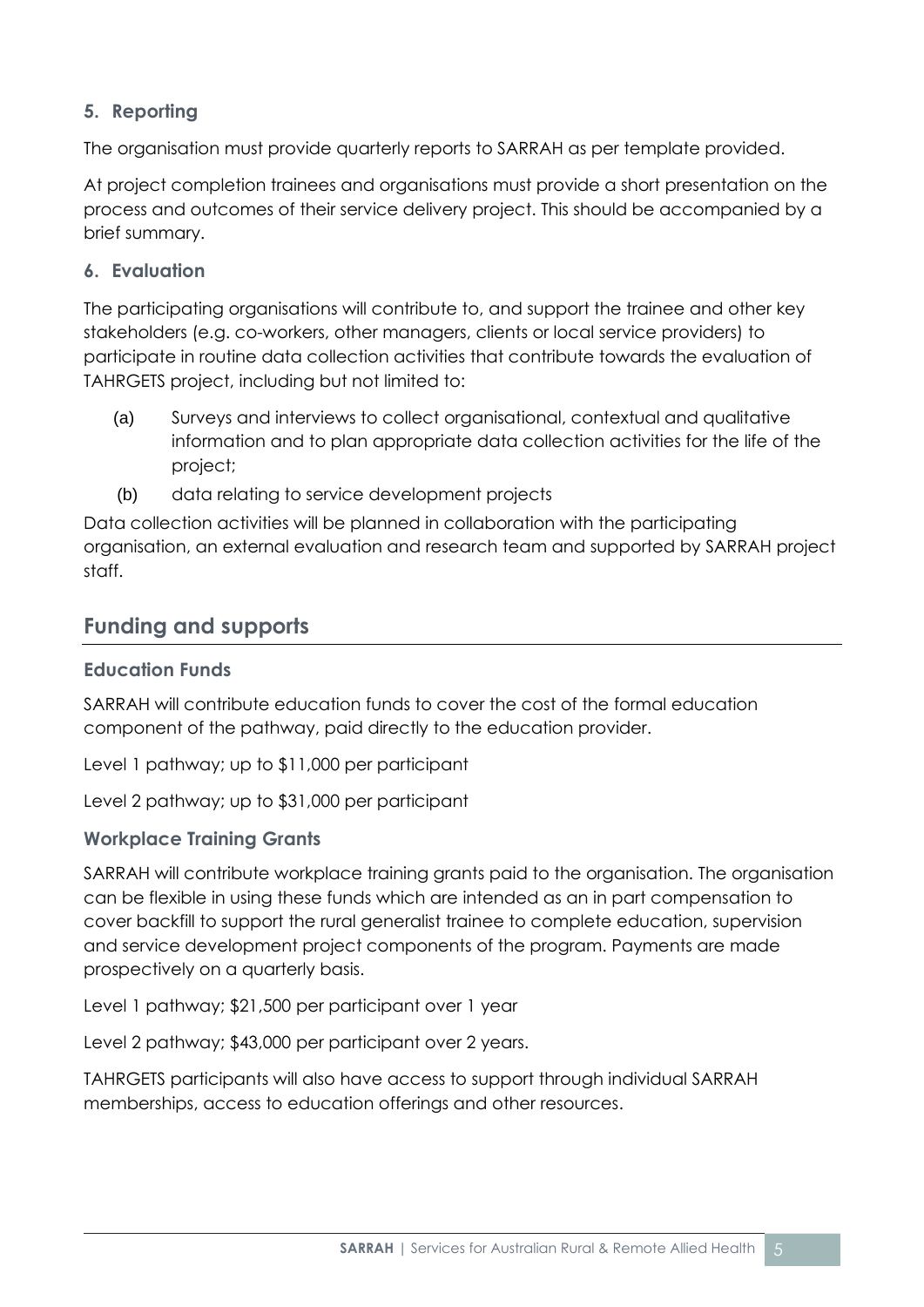#### **5. Reporting**

The organisation must provide quarterly reports to SARRAH as per template provided.

At project completion trainees and organisations must provide a short presentation on the process and outcomes of their service delivery project. This should be accompanied by a brief summary.

#### **6. Evaluation**

The participating organisations will contribute to, and support the trainee and other key stakeholders (e.g. co-workers, other managers, clients or local service providers) to participate in routine data collection activities that contribute towards the evaluation of TAHRGETS project, including but not limited to:

- (a) Surveys and interviews to collect organisational, contextual and qualitative information and to plan appropriate data collection activities for the life of the project;
- (b) data relating to service development projects

Data collection activities will be planned in collaboration with the participating organisation, an external evaluation and research team and supported by SARRAH project staff.

## **Funding and supports**

#### **Education Funds**

SARRAH will contribute education funds to cover the cost of the formal education component of the pathway, paid directly to the education provider.

Level 1 pathway; up to \$11,000 per participant

Level 2 pathway; up to \$31,000 per participant

#### **Workplace Training Grants**

SARRAH will contribute workplace training grants paid to the organisation. The organisation can be flexible in using these funds which are intended as an in part compensation to cover backfill to support the rural generalist trainee to complete education, supervision and service development project components of the program. Payments are made prospectively on a quarterly basis.

Level 1 pathway; \$21,500 per participant over 1 year

Level 2 pathway; \$43,000 per participant over 2 years.

TAHRGETS participants will also have access to support through individual SARRAH memberships, access to education offerings and other resources.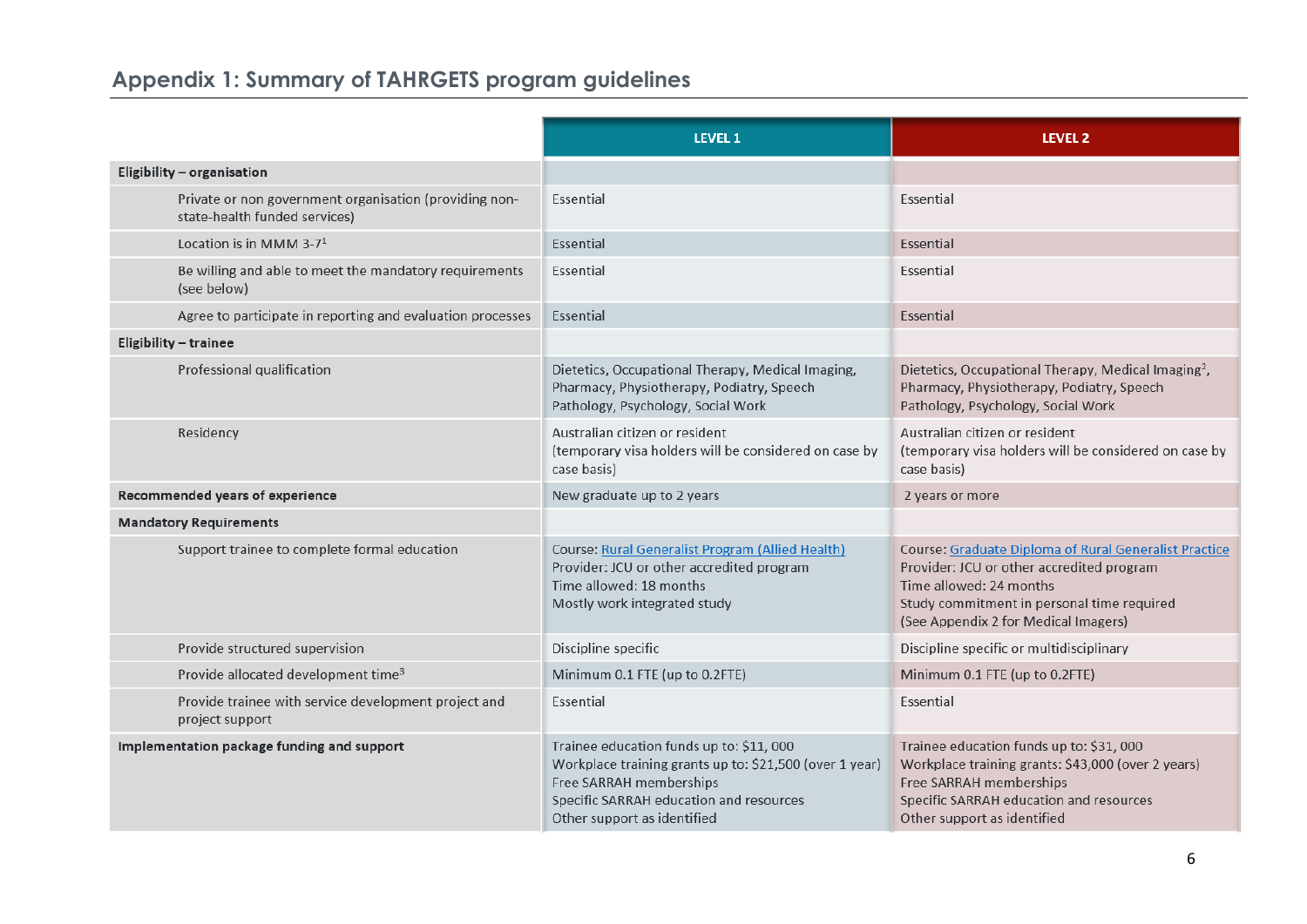# **Appendix 1: Summary of TAHRGETS program guidelines**

|                                                                                         | <b>LEVEL 1</b>                                                                                                                                                                                           | <b>LEVEL 2</b>                                                                                                                                                                                                             |
|-----------------------------------------------------------------------------------------|----------------------------------------------------------------------------------------------------------------------------------------------------------------------------------------------------------|----------------------------------------------------------------------------------------------------------------------------------------------------------------------------------------------------------------------------|
| Eligibility - organisation                                                              |                                                                                                                                                                                                          |                                                                                                                                                                                                                            |
| Private or non government organisation (providing non-<br>state-health funded services) | Essential                                                                                                                                                                                                | Essential                                                                                                                                                                                                                  |
| Location is in MMM 3-7 <sup>1</sup>                                                     | Essential                                                                                                                                                                                                | Essential                                                                                                                                                                                                                  |
| Be willing and able to meet the mandatory requirements<br>(see below)                   | Essential                                                                                                                                                                                                | Essential                                                                                                                                                                                                                  |
| Agree to participate in reporting and evaluation processes                              | Essential                                                                                                                                                                                                | Essential                                                                                                                                                                                                                  |
| Eligibility - trainee                                                                   |                                                                                                                                                                                                          |                                                                                                                                                                                                                            |
| Professional qualification                                                              | Dietetics, Occupational Therapy, Medical Imaging,<br>Pharmacy, Physiotherapy, Podiatry, Speech<br>Pathology, Psychology, Social Work                                                                     | Dietetics, Occupational Therapy, Medical Imaging <sup>2</sup> ,<br>Pharmacy, Physiotherapy, Podiatry, Speech<br>Pathology, Psychology, Social Work                                                                         |
| Residency                                                                               | Australian citizen or resident<br>(temporary visa holders will be considered on case by<br>case basis)                                                                                                   | Australian citizen or resident<br>(temporary visa holders will be considered on case by<br>case basis)                                                                                                                     |
| Recommended years of experience                                                         | New graduate up to 2 years                                                                                                                                                                               | 2 years or more                                                                                                                                                                                                            |
| <b>Mandatory Requirements</b>                                                           |                                                                                                                                                                                                          |                                                                                                                                                                                                                            |
| Support trainee to complete formal education                                            | <b>Course: Rural Generalist Program (Allied Health)</b><br>Provider: JCU or other accredited program<br>Time allowed: 18 months<br>Mostly work integrated study                                          | <b>Course: Graduate Diploma of Rural Generalist Practice</b><br>Provider: JCU or other accredited program<br>Time allowed: 24 months<br>Study commitment in personal time required<br>(See Appendix 2 for Medical Imagers) |
| Provide structured supervision                                                          | Discipline specific                                                                                                                                                                                      | Discipline specific or multidisciplinary                                                                                                                                                                                   |
| Provide allocated development time <sup>3</sup>                                         | Minimum 0.1 FTE (up to 0.2FTE)                                                                                                                                                                           | Minimum 0.1 FTE (up to 0.2FTE)                                                                                                                                                                                             |
| Provide trainee with service development project and<br>project support                 | Essential                                                                                                                                                                                                | Essential                                                                                                                                                                                                                  |
| Implementation package funding and support                                              | Trainee education funds up to: \$11, 000<br>Workplace training grants up to: \$21,500 (over 1 year)<br>Free SARRAH memberships<br>Specific SARRAH education and resources<br>Other support as identified | Trainee education funds up to: \$31,000<br>Workplace training grants: \$43,000 (over 2 years)<br>Free SARRAH memberships<br>Specific SARRAH education and resources<br>Other support as identified                         |